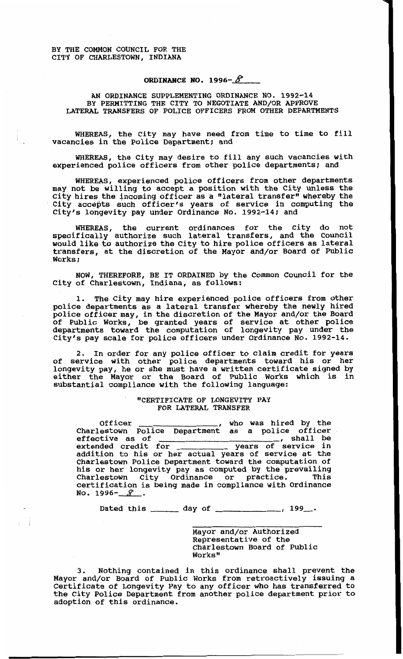BY THE COMMON COUNCIL FOR THE CITY OF CHARLESTOWN, INDIANA

## ORDINANCE NO. 1996- $\mathscr{S}$

AN ORDINANCE SUPPLEMENTING ORDINANCE NO. **1992-14**  BY PERMITTING THE CITY TO NEGOTIATE AND/OR APPROVE LATERAL TRANSFERS OF POLICE OFFICERS FROM OTHER DEPARTMENTS

WHEREAS, the City may have need from time to time to fill vacancies in the Police Department; and

WHEREAS, the City may desire to fill any such vacancies with experienced police officers from other police departments; and

WHEREAS, experienced police officers from other departments may not be willing to accept a position with the City unless the City hires the incoming officer as *a* "lateral transfer" whereby the City accepts such officer's years of service in computing the City's longevity pay under Ordinance No. 1992-14; and

WHEREAS, the current ordinances for the City do not specifically authorize such lateral transfers, and the Council would like to authorize the City to hire police officers as lateral transfers, at the discretion of the **Mayor** and/or Board of Public Works;

NOW, THEREFORE, BE **IT** ORDAINED by the Common Council for the City of Charlestown, Indiana, as follows:

**1.** The City may hire experienced police officers from other police departments as a lateral transfer whereby the newly hired police officer **may,** in the discretion of the Mayor and/or the Board of Public Works, **be** granted years of service at other police departments toward the computation of longevity pay under the City's pay scale for police officers under Ordinance No. 1992-14.

In order for any police officer to claim credit for years of service with other police departments toward his or her longevity pay, he or she must have a written certificate signed by either the Mayor or the **Board** of Public Works which is in substantial compliance with the following language: **2.** 

## "CERTIFICATE OF LONGEVITY PAY FOR LATERAL TRANSFER

Officer , who was hired by the Charlestown Police Department as a police officer<br>
effective as of , shall be<br>
extended gradit for , wears of service in extended credit for years of service in addition to his or her actual years of service at the Charlestown Police Department toward the computation of his or her longevity pay **as** computed by the prevailing certification is being made in compliance with Ordinance **NO. 1996-** *9* 

Dated this \_\_\_\_\_\_ day of \_\_\_\_\_\_\_\_\_\_\_\_\_, 199\_\_.

Mayor and/or Authorized Representative of the Charlestown Board of Public Works"

**I** 

**3.** Nothing contained in this ordinance shall prevent the Mayor and/or Board of Public Works from retroactively issuing a Certificate of Longevity Pay to any officer who has transferred to the City Police Department from another police department prior to adoption of this ordinance.